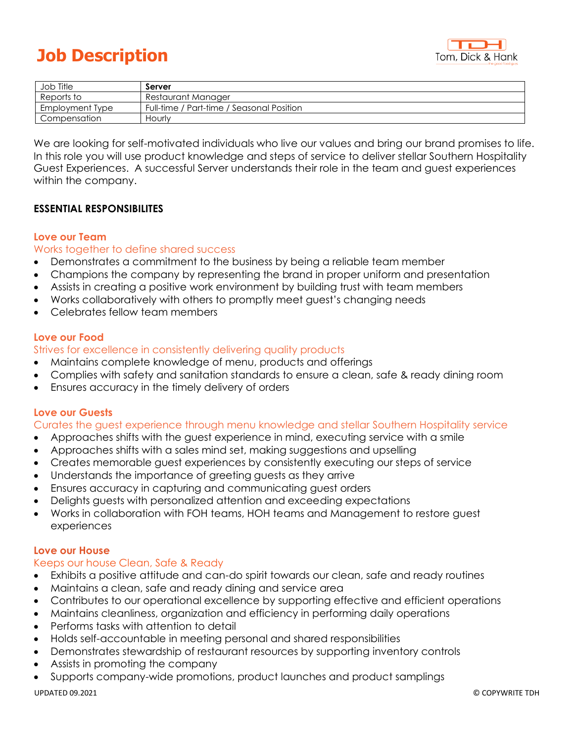# **Job Description**



| Job Title       | Server                                    |
|-----------------|-------------------------------------------|
| Reports to      | Restaurant Manager                        |
| Employment Type | Full-time / Part-time / Seasonal Position |
| Compensation    | Hourly                                    |

We are looking for self-motivated individuals who live our values and bring our brand promises to life. In this role you will use product knowledge and steps of service to deliver stellar Southern Hospitality Guest Experiences. A successful Server understands their role in the team and guest experiences within the company.

# **ESSENTIAL RESPONSIBILITES**

# **Love our Team**

# Works together to define shared success

- Demonstrates a commitment to the business by being a reliable team member
- Champions the company by representing the brand in proper uniform and presentation
- Assists in creating a positive work environment by building trust with team members
- Works collaboratively with others to promptly meet guest's changing needs
- Celebrates fellow team members

# **Love our Food**

# Strives for excellence in consistently delivering quality products

- Maintains complete knowledge of menu, products and offerings
- Complies with safety and sanitation standards to ensure a clean, safe & ready dining room
- Ensures accuracy in the timely delivery of orders

# **Love our Guests**

#### Curates the guest experience through menu knowledge and stellar Southern Hospitality service

- Approaches shifts with the guest experience in mind, executing service with a smile
- Approaches shifts with a sales mind set, making suggestions and upselling
- Creates memorable guest experiences by consistently executing our steps of service
- Understands the importance of greeting guests as they arrive
- Ensures accuracy in capturing and communicating guest orders
- Delights guests with personalized attention and exceeding expectations
- Works in collaboration with FOH teams, HOH teams and Management to restore guest experiences

#### **Love our House**

# Keeps our house Clean, Safe & Ready

- Exhibits a positive attitude and can-do spirit towards our clean, safe and ready routines
- Maintains a clean, safe and ready dining and service area
- Contributes to our operational excellence by supporting effective and efficient operations
- Maintains cleanliness, organization and efficiency in performing daily operations
- Performs tasks with attention to detail
- Holds self-accountable in meeting personal and shared responsibilities
- Demonstrates stewardship of restaurant resources by supporting inventory controls
- Assists in promoting the company
- Supports company-wide promotions, product launches and product samplings